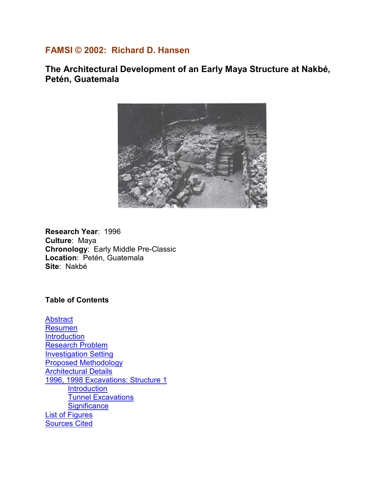# **FAMSI © 2002: Richard D. Hansen**

**The Architectural Development of an Early Maya Structure at Nakbé, Petén, Guatemala** 



**Research Year**: 1996 **Culture**: Maya **Chronology**: Early Middle Pre-Classic **Location**: Petén, Guatemala **Site**: Nakbé

**Table of Contents** 

**[Abstract](#page-1-0)** [Resumen](#page-1-0) **[Introduction](#page-2-0)** [Research Problem](#page-3-0) [Investigation Setting](#page-5-0) [Proposed Methodology](#page-9-0) **[Architectural Details](#page-9-0)** [1996, 1998 Excavations: Structure 1](#page-13-0) **[Introduction](#page-13-0)** [Tunnel Excavations](#page-13-0) **[Significance](#page-15-0)** [List of Figures](#page-15-0) [Sources Cited](#page-16-0)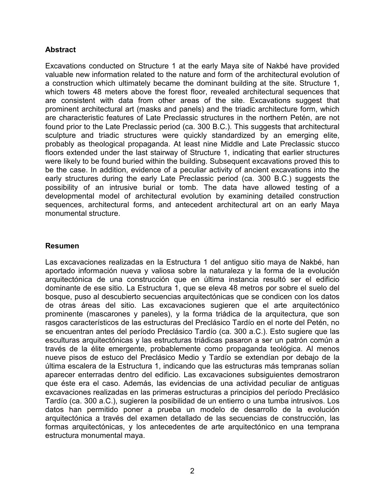### <span id="page-1-0"></span>**Abstract**

Excavations conducted on Structure 1 at the early Maya site of Nakbé have provided valuable new information related to the nature and form of the architectural evolution of a construction which ultimately became the dominant building at the site. Structure 1, which towers 48 meters above the forest floor, revealed architectural sequences that are consistent with data from other areas of the site. Excavations suggest that prominent architectural art (masks and panels) and the triadic architecture form, which are characteristic features of Late Preclassic structures in the northern Petén, are not found prior to the Late Preclassic period (ca. 300 B.C.). This suggests that architectural sculpture and triadic structures were quickly standardized by an emerging elite, probably as theological propaganda. At least nine Middle and Late Preclassic stucco floors extended under the last stairway of Structure 1, indicating that earlier structures were likely to be found buried within the building. Subsequent excavations proved this to be the case. In addition, evidence of a peculiar activity of ancient excavations into the early structures during the early Late Preclassic period (ca. 300 B.C.) suggests the possibility of an intrusive burial or tomb. The data have allowed testing of a developmental model of architectural evolution by examining detailed construction sequences, architectural forms, and antecedent architectural art on an early Maya monumental structure.

#### **Resumen**

Las excavaciones realizadas en la Estructura 1 del antiguo sitio maya de Nakbé, han aportado información nueva y valiosa sobre la naturaleza y la forma de la evolución arquitectónica de una construcción que en última instancia resultó ser el edificio dominante de ese sitio. La Estructura 1, que se eleva 48 metros por sobre el suelo del bosque, puso al descubierto secuencias arquitectónicas que se condicen con los datos de otras áreas del sitio. Las excavaciones sugieren que el arte arquitectónico prominente (mascarones y paneles), y la forma triádica de la arquitectura, que son rasgos característicos de las estructuras del Preclásico Tardío en el norte del Petén, no se encuentran antes del período Preclásico Tardío (ca. 300 a.C.). Esto sugiere que las esculturas arquitectónicas y las estructuras triádicas pasaron a ser un patrón común a través de la élite emergente, probablemente como propaganda teológica. Al menos nueve pisos de estuco del Preclásico Medio y Tardío se extendían por debajo de la última escalera de la Estructura 1, indicando que las estructuras más tempranas solían aparecer enterradas dentro del edificio. Las excavaciones subsiguientes demostraron que éste era el caso. Además, las evidencias de una actividad peculiar de antiguas excavaciones realizadas en las primeras estructuras a principios del período Preclásico Tardío (ca. 300 a.C.), sugieren la posibilidad de un entierro o una tumba intrusivos. Los datos han permitido poner a prueba un modelo de desarrollo de la evolución arquitectónica a través del examen detallado de las secuencias de construcción, las formas arquitectónicas, y los antecedentes de arte arquitectónico en una temprana estructura monumental maya.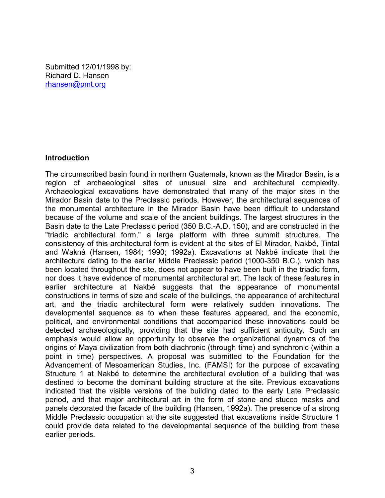<span id="page-2-0"></span>Submitted 12/01/1998 by: Richard D. Hansen rhansen@pmt.org

#### **Introduction**

The circumscribed basin found in northern Guatemala, known as the Mirador Basin, is a region of archaeological sites of unusual size and architectural complexity. Archaeological excavations have demonstrated that many of the major sites in the Mirador Basin date to the Preclassic periods. However, the architectural sequences of the monumental architecture in the Mirador Basin have been difficult to understand because of the volume and scale of the ancient buildings. The largest structures in the Basin date to the Late Preclassic period (350 B.C.-A.D. 150), and are constructed in the "triadic architectural form," a large platform with three summit structures. The consistency of this architectural form is evident at the sites of El Mirador, Nakbé, Tintal and Wakná (Hansen, 1984; 1990; 1992a). Excavations at Nakbé indicate that the architecture dating to the earlier Middle Preclassic period (1000-350 B.C.), which has been located throughout the site, does not appear to have been built in the triadic form, nor does it have evidence of monumental architectural art. The lack of these features in earlier architecture at Nakbé suggests that the appearance of monumental constructions in terms of size and scale of the buildings, the appearance of architectural art, and the triadic architectural form were relatively sudden innovations. The developmental sequence as to when these features appeared, and the economic, political, and environmental conditions that accompanied these innovations could be detected archaeologically, providing that the site had sufficient antiquity. Such an emphasis would allow an opportunity to observe the organizational dynamics of the origins of Maya civilization from both diachronic (through time) and synchronic (within a point in time) perspectives. A proposal was submitted to the Foundation for the Advancement of Mesoamerican Studies, Inc. (FAMSI) for the purpose of excavating Structure 1 at Nakbé to determine the architectural evolution of a building that was destined to become the dominant building structure at the site. Previous excavations indicated that the visible versions of the building dated to the early Late Preclassic period, and that major architectural art in the form of stone and stucco masks and panels decorated the facade of the building (Hansen, 1992a). The presence of a strong Middle Preclassic occupation at the site suggested that excavations inside Structure 1 could provide data related to the developmental sequence of the building from these earlier periods.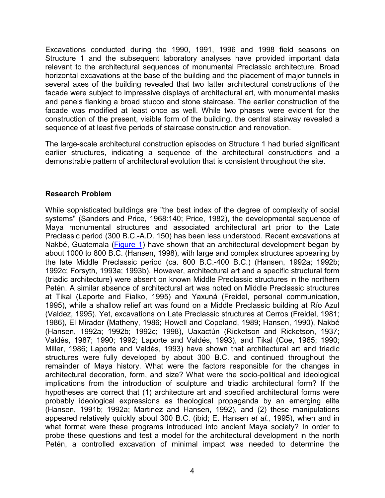<span id="page-3-0"></span>Excavations conducted during the 1990, 1991, 1996 and 1998 field seasons on Structure 1 and the subsequent laboratory analyses have provided important data relevant to the architectural sequences of monumental Preclassic architecture. Broad horizontal excavations at the base of the building and the placement of major tunnels in several axes of the building revealed that two latter architectural constructions of the facade were subject to impressive displays of architectural art, with monumental masks and panels flanking a broad stucco and stone staircase. The earlier construction of the facade was modified at least once as well. While two phases were evident for the construction of the present, visible form of the building, the central stairway revealed a sequence of at least five periods of staircase construction and renovation.

The large-scale architectural construction episodes on Structure 1 had buried significant earlier structures, indicating a sequence of the architectural constructions and a demonstrable pattern of architectural evolution that is consistent throughout the site.

### **Research Problem**

While sophisticated buildings are "the best index of the degree of complexity of social systems" (Sanders and Price, 1968:140; Price, 1982), the developmental sequence of Maya monumental structures and associated architectural art prior to the Late Preclassic period (300 B.C.-A.D. 150) has been less understood. Recent excavations at Nakbé, Guatemala [\(Figure 1\)](#page-4-0) have shown that an architectural development began by about 1000 to 800 B.C. (Hansen, 1998), with large and complex structures appearing by the late Middle Preclassic period (ca. 600 B.C.-400 B.C.) (Hansen, 1992a; 1992b; 1992c; Forsyth, 1993a; 1993b). However, architectural art and a specific structural form (triadic architecture) were absent on known Middle Preclassic structures in the northern Petén. A similar absence of architectural art was noted on Middle Preclassic structures at Tikal (Laporte and Fialko, 1995) and Yaxuná (Freidel, personal communication, 1995), while a shallow relief art was found on a Middle Preclassic building at Río Azul (Valdez, 1995). Yet, excavations on Late Preclassic structures at Cerros (Freidel, 1981; 1986), El Mirador (Matheny, 1986; Howell and Copeland, 1989; Hansen, 1990), Nakbé (Hansen, 1992a; 1992b; 1992c; 1998), Uaxactún (Ricketson and Ricketson, 1937; Valdés, 1987; 1990; 1992; Laporte and Valdés, 1993), and Tikal (Coe, 1965; 1990; Miller, 1986; Laporte and Valdés, 1993) have shown that architectural art and triadic structures were fully developed by about 300 B.C. and continued throughout the remainder of Maya history. What were the factors responsible for the changes in architectural decoration, form, and size? What were the socio-political and ideological implications from the introduction of sculpture and triadic architectural form? If the hypotheses are correct that (1) architecture art and specified architectural forms were probably ideological expressions as theological propaganda by an emerging elite (Hansen, 1991b; 1992a; Martinez and Hansen, 1992), and (2) these manipulations appeared relatively quickly about 300 B.C. (ibid; E. Hansen *et al.*, 1995), when and in what format were these programs introduced into ancient Maya society? In order to probe these questions and test a model for the architectural development in the north Petén, a controlled excavation of minimal impact was needed to determine the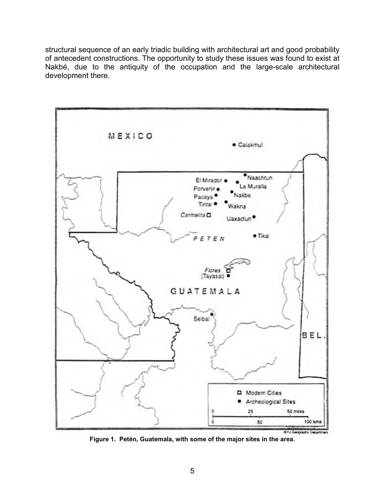<span id="page-4-0"></span>structural sequence of an early triadic building with architectural art and good probability of antecedent constructions. The opportunity to study these issues was found to exist at Nakbé, due to the antiquity of the occupation and the large-scale architectural development there.



**Figure 1. Petén, Guatemala, with some of the major sites in the area.**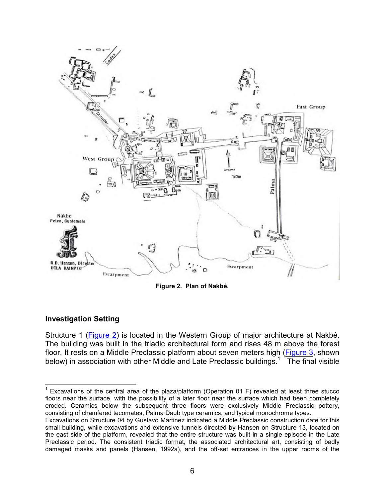<span id="page-5-0"></span>

**Figure 2. Plan of Nakbé.** 

# **Investigation Setting**

Structure 1 (Figure 2) is located in the Western Group of major architecture at Nakbé. The building was built in the triadic architectural form and rises 48 m above the forest floor. It rests on a Middle Preclassic platform about seven meters high ([Figure 3](#page-6-0), shown below) in association with other Middle and Late Preclassic buildings.<sup>1</sup> The final visible

 <sup>1</sup> Excavations of the central area of the plaza/platform (Operation 01 F) revealed at least three stucco floors near the surface, with the possibility of a later floor near the surface which had been completely eroded. Ceramics below the subsequent three floors were exclusively Middle Preclassic pottery, consisting of chamfered tecomates, Palma Daub type ceramics, and typical monochrome types.

Excavations on Structure 04 by Gustavo Martinez indicated a Middle Preclassic construction date for this small building, while excavations and extensive tunnels directed by Hansen on Structure 13, located on the east side of the platform, revealed that the entire structure was built in a single episode in the Late Preclassic period. The consistent triadic format, the associated architectural art, consisting of badly damaged masks and panels (Hansen, 1992a), and the off-set entrances in the upper rooms of the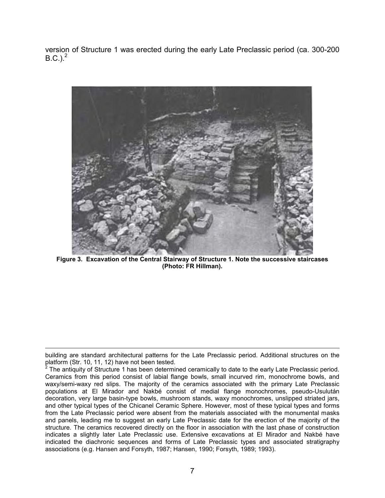<span id="page-6-0"></span>version of Structure 1 was erected during the early Late Preclassic period (ca. 300-200 B.C.).<sup>2</sup>



**Figure 3. Excavation of the Central Stairway of Structure 1. Note the successive staircases (Photo: FR Hillman).** 

 $\overline{a}$ 

building are standard architectural patterns for the Late Preclassic period. Additional structures on the

platform (Str. 10, 11, 12) have not been tested.<br><sup>2</sup> The antiquity of Structure 1 has been determined ceramically to date to the early Late Preclassic period. Ceramics from this period consist of labial flange bowls, small incurved rim, monochrome bowls, and waxy/semi-waxy red slips. The majority of the ceramics associated with the primary Late Preclassic populations at El Mirador and Nakbé consist of medial flange monochromes, pseudo-Usulután decoration, very large basin-type bowls, mushroom stands, waxy monochromes, unslipped striated jars, and other typical types of the Chicanel Ceramic Sphere. However, most of these typical types and forms from the Late Preclassic period were absent from the materials associated with the monumental masks and panels, leading me to suggest an early Late Preclassic date for the erection of the majority of the structure. The ceramics recovered directly on the floor in association with the last phase of construction indicates a slightly later Late Preclassic use. Extensive excavations at El Mirador and Nakbé have indicated the diachronic sequences and forms of Late Preclassic types and associated stratigraphy associations (e.g. Hansen and Forsyth, 1987; Hansen, 1990; Forsyth, 1989; 1993).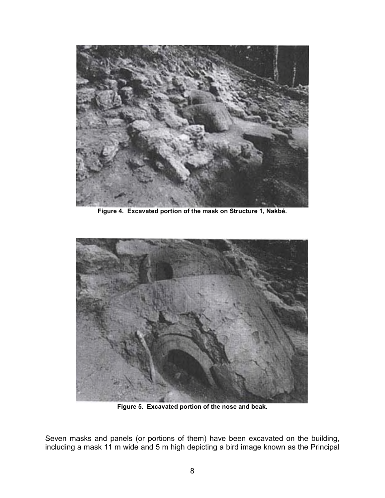<span id="page-7-0"></span>

**Figure 4. Excavated portion of the mask on Structure 1, Nakbé.** 



**Figure 5. Excavated portion of the nose and beak.** 

Seven masks and panels (or portions of them) have been excavated on the building, including a mask 11 m wide and 5 m high depicting a bird image known as the Principal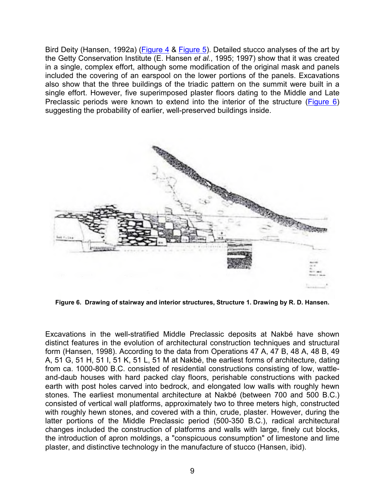<span id="page-8-0"></span>Bird Deity (Hansen, 1992a) [\(Figure 4](#page-7-0) & [Figure 5\)](#page-7-0). Detailed stucco analyses of the art by the Getty Conservation Institute (E. Hansen *et al.*, 1995; 1997) show that it was created in a single, complex effort, although some modification of the original mask and panels included the covering of an earspool on the lower portions of the panels. Excavations also show that the three buildings of the triadic pattern on the summit were built in a single effort. However, five superimposed plaster floors dating to the Middle and Late Preclassic periods were known to extend into the interior of the structure (Figure 6) suggesting the probability of earlier, well-preserved buildings inside.



**Figure 6. Drawing of stairway and interior structures, Structure 1. Drawing by R. D. Hansen.** 

Excavations in the well-stratified Middle Preclassic deposits at Nakbé have shown distinct features in the evolution of architectural construction techniques and structural form (Hansen, 1998). According to the data from Operations 47 A, 47 B, 48 A, 48 B, 49 A, 51 G, 51 H, 51 I, 51 K, 51 L, 51 M at Nakbé, the earliest forms of architecture, dating from ca. 1000-800 B.C. consisted of residential constructions consisting of low, wattleand-daub houses with hard packed clay floors, perishable constructions with packed earth with post holes carved into bedrock, and elongated low walls with roughly hewn stones. The earliest monumental architecture at Nakbé (between 700 and 500 B.C.) consisted of vertical wall platforms, approximately two to three meters high, constructed with roughly hewn stones, and covered with a thin, crude, plaster. However, during the latter portions of the Middle Preclassic period (500-350 B.C.), radical architectural changes included the construction of platforms and walls with large, finely cut blocks, the introduction of apron moldings, a "conspicuous consumption" of limestone and lime plaster, and distinctive technology in the manufacture of stucco (Hansen, ibid).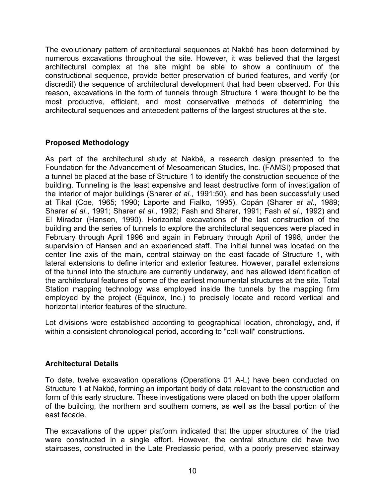<span id="page-9-0"></span>The evolutionary pattern of architectural sequences at Nakbé has been determined by numerous excavations throughout the site. However, it was believed that the largest architectural complex at the site might be able to show a continuum of the constructional sequence, provide better preservation of buried features, and verify (or discredit) the sequence of architectural development that had been observed. For this reason, excavations in the form of tunnels through Structure 1 were thought to be the most productive, efficient, and most conservative methods of determining the architectural sequences and antecedent patterns of the largest structures at the site.

# **Proposed Methodology**

As part of the architectural study at Nakbé, a research design presented to the Foundation for the Advancement of Mesoamerican Studies, Inc. (FAMSI) proposed that a tunnel be placed at the base of Structure 1 to identify the construction sequence of the building. Tunneling is the least expensive and least destructive form of investigation of the interior of major buildings (Sharer *et al.*, 1991:50), and has been successfully used at Tikal (Coe, 1965; 1990; Laporte and Fialko, 1995), Copán (Sharer *et al.*, 1989; Sharer *et al.*, 1991; Sharer *et al.*, 1992; Fash and Sharer, 1991; Fash *et al.*, 1992) and El Mirador (Hansen, 1990). Horizontal excavations of the last construction of the building and the series of tunnels to explore the architectural sequences were placed in February through April 1996 and again in February through April of 1998, under the supervision of Hansen and an experienced staff. The initial tunnel was located on the center line axis of the main, central stairway on the east facade of Structure 1, with lateral extensions to define interior and exterior features. However, parallel extensions of the tunnel into the structure are currently underway, and has allowed identification of the architectural features of some of the earliest monumental structures at the site. Total Station mapping technology was employed inside the tunnels by the mapping firm employed by the project (Equinox, Inc.) to precisely locate and record vertical and horizontal interior features of the structure.

Lot divisions were established according to geographical location, chronology, and, if within a consistent chronological period, according to "cell wall" constructions.

# **Architectural Details**

To date, twelve excavation operations (Operations 01 A-L) have been conducted on Structure 1 at Nakbé, forming an important body of data relevant to the construction and form of this early structure. These investigations were placed on both the upper platform of the building, the northern and southern corners, as well as the basal portion of the east facade.

The excavations of the upper platform indicated that the upper structures of the triad were constructed in a single effort. However, the central structure did have two staircases, constructed in the Late Preclassic period, with a poorly preserved stairway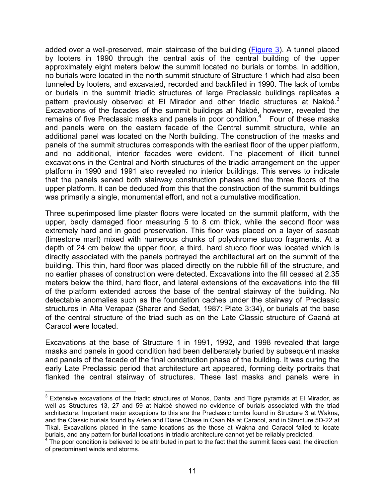added over a well-preserved, main staircase of the building [\(Figure 3](#page-6-0)). A tunnel placed by looters in 1990 through the central axis of the central building of the upper approximately eight meters below the summit located no burials or tombs. In addition, no burials were located in the north summit structure of Structure 1 which had also been tunneled by looters, and excavated, recorded and backfilled in 1990. The lack of tombs or burials in the summit triadic structures of large Preclassic buildings replicates a pattern previously observed at El Mirador and other triadic structures at Nakbé.<sup>3</sup> Excavations of the facades of the summit buildings at Nakbé, however, revealed the remains of five Preclassic masks and panels in poor condition. $4$  Four of these masks and panels were on the eastern facade of the Central summit structure, while an additional panel was located on the North building. The construction of the masks and panels of the summit structures corresponds with the earliest floor of the upper platform, and no additional, interior facades were evident. The placement of illicit tunnel excavations in the Central and North structures of the triadic arrangement on the upper platform in 1990 and 1991 also revealed no interior buildings. This serves to indicate that the panels served both stairway construction phases and the three floors of the upper platform. It can be deduced from this that the construction of the summit buildings was primarily a single, monumental effort, and not a cumulative modification.

Three superimposed lime plaster floors were located on the summit platform, with the upper, badly damaged floor measuring 5 to 8 cm thick, while the second floor was extremely hard and in good preservation. This floor was placed on a layer of *sascab* (limestone marl) mixed with numerous chunks of polychrome stucco fragments. At a depth of 24 cm below the upper floor, a third, hard stucco floor was located which is directly associated with the panels portrayed the architectural art on the summit of the building. This thin, hard floor was placed directly on the rubble fill of the structure, and no earlier phases of construction were detected. Excavations into the fill ceased at 2.35 meters below the third, hard floor, and lateral extensions of the excavations into the fill of the platform extended across the base of the central stairway of the building. No detectable anomalies such as the foundation caches under the stairway of Preclassic structures in Alta Verapaz (Sharer and Sedat, 1987: Plate 3:34), or burials at the base of the central structure of the triad such as on the Late Classic structure of Caaná at Caracol were located.

Excavations at the base of Structure 1 in 1991, 1992, and 1998 revealed that large masks and panels in good condition had been deliberately buried by subsequent masks and panels of the facade of the final construction phase of the building. It was during the early Late Preclassic period that architecture art appeared, forming deity portraits that flanked the central stairway of structures. These last masks and panels were in

 3 Extensive excavations of the triadic structures of Monos, Danta, and Tigre pyramids at El Mirador, as well as Structures 13, 27 and 59 at Nakbé showed no evidence of burials associated with the triad architecture. Important major exceptions to this are the Preclassic tombs found in Structure 3 at Wakna, and the Classic burials found by Arlen and Diane Chase in Caan Ná at Caracol, and in Structure 5D-22 at Tikal. Excavations placed in the same locations as the those at Wakna and Caracol failed to locate burials, and any pattern for burial locations in triadic architecture cannot yet be reliably predicted.

<sup>&</sup>lt;sup>4</sup> The poor condition is believed to be attributed in part to the fact that the summit faces east, the direction of predominant winds and storms.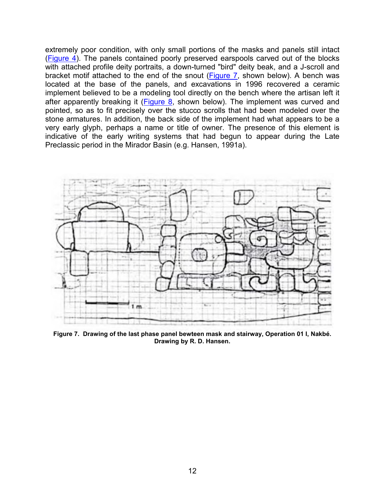<span id="page-11-0"></span>extremely poor condition, with only small portions of the masks and panels still intact ([Figure 4](#page-7-0)). The panels contained poorly preserved earspools carved out of the blocks with attached profile deity portraits, a down-turned "bird" deity beak, and a J-scroll and bracket motif attached to the end of the snout (Figure 7, shown below). A bench was located at the base of the panels, and excavations in 1996 recovered a ceramic implement believed to be a modeling tool directly on the bench where the artisan left it after apparently breaking it  $(Figure 8)$  $(Figure 8)$ , shown below). The implement was curved and pointed, so as to fit precisely over the stucco scrolls that had been modeled over the stone armatures. In addition, the back side of the implement had what appears to be a very early glyph, perhaps a name or title of owner. The presence of this element is indicative of the early writing systems that had begun to appear during the Late Preclassic period in the Mirador Basin (e.g. Hansen, 1991a).



**Figure 7. Drawing of the last phase panel bewteen mask and stairway, Operation 01 I, Nakbé. Drawing by R. D. Hansen.**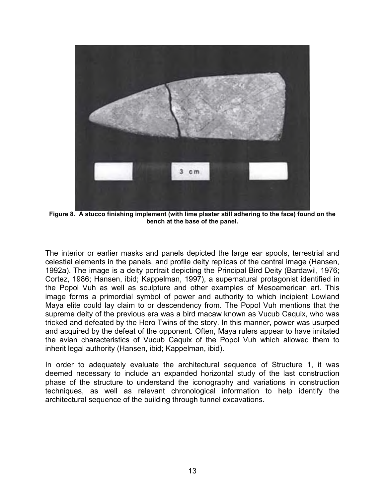<span id="page-12-0"></span>

**Figure 8. A stucco finishing implement (with lime plaster still adhering to the face) found on the bench at the base of the panel.** 

The interior or earlier masks and panels depicted the large ear spools, terrestrial and celestial elements in the panels, and profile deity replicas of the central image (Hansen, 1992a). The image is a deity portrait depicting the Principal Bird Deity (Bardawil, 1976; Cortez, 1986; Hansen, ibid; Kappelman, 1997), a supernatural protagonist identified in the Popol Vuh as well as sculpture and other examples of Mesoamerican art. This image forms a primordial symbol of power and authority to which incipient Lowland Maya elite could lay claim to or descendency from. The Popol Vuh mentions that the supreme deity of the previous era was a bird macaw known as Vucub Caquix, who was tricked and defeated by the Hero Twins of the story. In this manner, power was usurped and acquired by the defeat of the opponent. Often, Maya rulers appear to have imitated the avian characteristics of Vucub Caquix of the Popol Vuh which allowed them to inherit legal authority (Hansen, ibid; Kappelman, ibid).

In order to adequately evaluate the architectural sequence of Structure 1, it was deemed necessary to include an expanded horizontal study of the last construction phase of the structure to understand the iconography and variations in construction techniques, as well as relevant chronological information to help identify the architectural sequence of the building through tunnel excavations.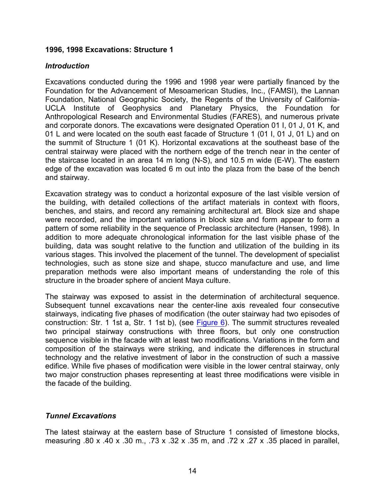### <span id="page-13-0"></span>**1996, 1998 Excavations: Structure 1**

#### *Introduction*

Excavations conducted during the 1996 and 1998 year were partially financed by the Foundation for the Advancement of Mesoamerican Studies, Inc., (FAMSI), the Lannan Foundation, National Geographic Society, the Regents of the University of California-UCLA Institute of Geophysics and Planetary Physics, the Foundation for Anthropological Research and Environmental Studies (FARES), and numerous private and corporate donors. The excavations were designated Operation 01 I, 01 J, 01 K, and 01 L and were located on the south east facade of Structure 1 (01 I, 01 J, 01 L) and on the summit of Structure 1 (01 K). Horizontal excavations at the southeast base of the central stairway were placed with the northern edge of the trench near in the center of the staircase located in an area 14 m long (N-S), and 10.5 m wide (E-W). The eastern edge of the excavation was located 6 m out into the plaza from the base of the bench and stairway.

Excavation strategy was to conduct a horizontal exposure of the last visible version of the building, with detailed collections of the artifact materials in context with floors, benches, and stairs, and record any remaining architectural art. Block size and shape were recorded, and the important variations in block size and form appear to form a pattern of some reliability in the sequence of Preclassic architecture (Hansen, 1998). In addition to more adequate chronological information for the last visible phase of the building, data was sought relative to the function and utilization of the building in its various stages. This involved the placement of the tunnel. The development of specialist technologies, such as stone size and shape, stucco manufacture and use, and lime preparation methods were also important means of understanding the role of this structure in the broader sphere of ancient Maya culture.

The stairway was exposed to assist in the determination of architectural sequence. Subsequent tunnel excavations near the center-line axis revealed four consecutive stairways, indicating five phases of modification (the outer stairway had two episodes of construction: Str. 1 1st a, Str. 1 1st b), (see [Figure 6\)](#page-8-0). The summit structures revealed two principal stairway constructions with three floors, but only one construction sequence visible in the facade with at least two modifications. Variations in the form and composition of the stairways were striking, and indicate the differences in structural technology and the relative investment of labor in the construction of such a massive edifice. While five phases of modification were visible in the lower central stairway, only two major construction phases representing at least three modifications were visible in the facade of the building.

### *Tunnel Excavations*

The latest stairway at the eastern base of Structure 1 consisted of limestone blocks, measuring .80 x .40 x .30 m., .73 x .32 x .35 m, and .72 x .27 x .35 placed in parallel,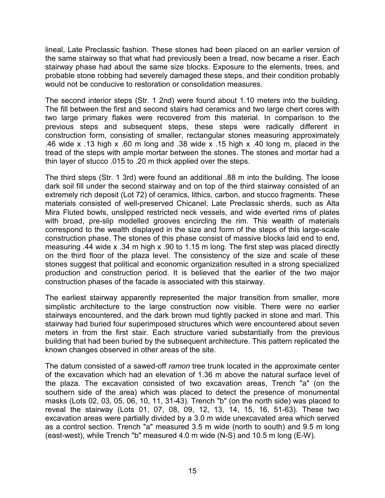lineal, Late Preclassic fashion. These stones had been placed on an earlier version of the same stairway so that what had previously been a tread, now became a riser. Each stairway phase had about the same size blocks. Exposure to the elements, trees, and probable stone robbing had severely damaged these steps, and their condition probably would not be conducive to restoration or consolidation measures.

The second interior steps (Str. 1 2nd) were found about 1.10 meters into the building. The fill between the first and second stairs had ceramics and two large chert cores with two large primary flakes were recovered from this material. In comparison to the previous steps and subsequent steps, these steps were radically different in construction form, consisting of smaller, rectangular stones measuring approximately .46 wide x .13 high x .60 m long and .38 wide x .15 high x .40 long m, placed in the tread of the steps with ample mortar between the stones. The stones and mortar had a thin layer of stucco .015 to .20 m thick applied over the steps.

The third steps (Str. 1 3rd) were found an additional .88 m into the building. The loose dark soil fill under the second stairway and on top of the third stairway consisted of an extremely rich deposit (Lot 72) of ceramics, lithics, carbon, and stucco fragments. These materials consisted of well-preserved Chicanel, Late Preclassic sherds, such as Alta Mira Fluted bowls, unslipped restricted neck vessels, and wide everted rims of plates with broad, pre-slip modelled grooves encircling the rim. This wealth of materials correspond to the wealth displayed in the size and form of the steps of this large-scale construction phase. The stones of this phase consist of massive blocks laid end to end, measuring .44 wide x .34 m high x .90 to 1.15 m long. The first step was placed directly on the third floor of the plaza level. The consistency of the size and scale of these stones suggest that political and economic organization resulted in a strong specialized production and construction period. It is believed that the earlier of the two major construction phases of the facade is associated with this stairway.

The earliest stairway apparently represented the major transition from smaller, more simplistic architecture to the large construction now visible. There were no earlier stairways encountered, and the dark brown mud tightly packed in stone and marl. This stairway had buried four superimposed structures which were encountered about seven meters in from the first stair. Each structure varied substantially from the previous building that had been buried by the subsequent architecture. This pattern replicated the known changes observed in other areas of the site.

The datum consisted of a sawed-off *ramon* tree trunk located in the approximate center of the excavation which had an elevation of 1.36 m above the natural surface level of the plaza. The excavation consisted of two excavation areas, Trench "a" (on the southern side of the area) which was placed to detect the presence of monumental masks (Lots 02, 03, 05, 06, 10, 11, 31-43). Trench "b" (on the north side) was placed to reveal the stairway (Lots 01, 07, 08, 09, 12, 13, 14, 15, 16, 51-63). These two excavation areas were partially divided by a 3.0 m wide unexcavated area which served as a control section. Trench "a" measured 3.5 m wide (north to south) and 9.5 m long (east-west), while Trench "b" measured 4.0 m wide (N-S) and 10.5 m long (E-W).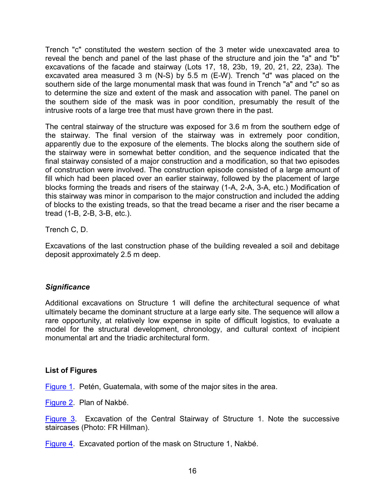<span id="page-15-0"></span>Trench "c" constituted the western section of the 3 meter wide unexcavated area to reveal the bench and panel of the last phase of the structure and join the "a" and "b" excavations of the facade and stairway (Lots 17, 18, 23b, 19, 20, 21, 22, 23a). The excavated area measured 3 m (N-S) by 5.5 m (E-W). Trench "d" was placed on the southern side of the large monumental mask that was found in Trench "a" and "c" so as to determine the size and extent of the mask and assocation with panel. The panel on the southern side of the mask was in poor condition, presumably the result of the intrusive roots of a large tree that must have grown there in the past.

The central stairway of the structure was exposed for 3.6 m from the southern edge of the stairway. The final version of the stairway was in extremely poor condition, apparently due to the exposure of the elements. The blocks along the southern side of the stairway were in somewhat better condition, and the sequence indicated that the final stairway consisted of a major construction and a modification, so that two episodes of construction were involved. The construction episode consisted of a large amount of fill which had been placed over an earlier stairway, followed by the placement of large blocks forming the treads and risers of the stairway (1-A, 2-A, 3-A, etc.) Modification of this stairway was minor in comparison to the major construction and included the adding of blocks to the existing treads, so that the tread became a riser and the riser became a tread (1-B, 2-B, 3-B, etc.).

Trench C, D.

Excavations of the last construction phase of the building revealed a soil and debitage deposit approximately 2.5 m deep.

# *Significance*

Additional excavations on Structure 1 will define the architectural sequence of what ultimately became the dominant structure at a large early site. The sequence will allow a rare opportunity, at relatively low expense in spite of difficult logistics, to evaluate a model for the structural development, chronology, and cultural context of incipient monumental art and the triadic architectural form.

### **List of Figures**

[Figure 1](#page-4-0). Petén, Guatemala, with some of the major sites in the area.

[Figure 2](#page-5-0). Plan of Nakbé.

[Figure 3.](#page-6-0) Excavation of the Central Stairway of Structure 1. Note the successive staircases (Photo: FR Hillman).

[Figure 4](#page-7-0). Excavated portion of the mask on Structure 1, Nakbé.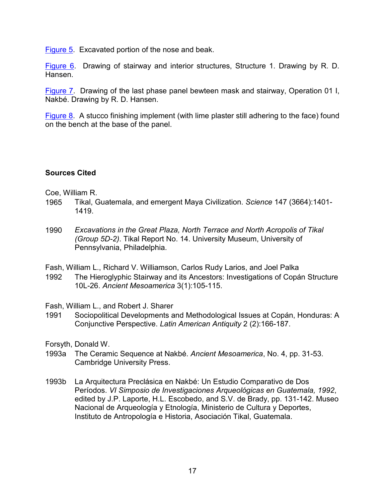<span id="page-16-0"></span>[Figure 5](#page-7-0). Excavated portion of the nose and beak.

[Figure 6.](#page-8-0) Drawing of stairway and interior structures, Structure 1. Drawing by R. D. Hansen.

[Figure 7.](#page-11-0) Drawing of the last phase panel bewteen mask and stairway, Operation 01 I, Nakbé. Drawing by R. D. Hansen.

[Figure 8.](#page-12-0) A stucco finishing implement (with lime plaster still adhering to the face) found on the bench at the base of the panel.

### **Sources Cited**

Coe, William R.

- 1965 Tikal, Guatemala, and emergent Maya Civilization. *Science* 147 (3664):1401- 1419.
- 1990 *Excavations in the Great Plaza, North Terrace and North Acropolis of Tikal (Group 5D-2)*. Tikal Report No. 14. University Museum, University of Pennsylvania, Philadelphia.
- Fash, William L., Richard V. Williamson, Carlos Rudy Larios, and Joel Palka
- 1992 The Hieroglyphic Stairway and its Ancestors: Investigations of Copán Structure 10L-26. *Ancient Mesoamerica* 3(1):105-115.

Fash, William L., and Robert J. Sharer

1991 Sociopolitical Developments and Methodological Issues at Copán, Honduras: A Conjunctive Perspective. *Latin American Antiquity* 2 (2):166-187.

Forsyth, Donald W.

- 1993a The Ceramic Sequence at Nakbé. *Ancient Mesoamerica*, No. 4, pp. 31-53. Cambridge University Press.
- 1993b La Arquitectura Preclásica en Nakbé: Un Estudio Comparativo de Dos Períodos. *VI Simposio de Investigaciones Arqueológicas en Guatemala, 1992*, edited by J.P. Laporte, H.L. Escobedo, and S.V. de Brady, pp. 131-142. Museo Nacional de Arqueología y Etnología, Ministerio de Cultura y Deportes, Instituto de Antropología e Historia, Asociación Tikal, Guatemala.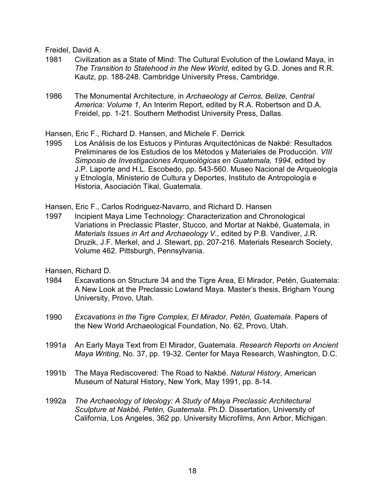Freidel, David A.

- 1981 Civilization as a State of Mind: The Cultural Evolution of the Lowland Maya, in *The Transition to Statehood in the New World*, edited by G.D. Jones and R.R. Kautz, pp. 188-248. Cambridge University Press, Cambridge.
- 1986 The Monumental Architecture, in *Archaeology at Cerros, Belize, Central America: Volume 1*, An Interim Report, edited by R.A. Robertson and D.A. Freidel, pp. 1-21. Southern Methodist University Press, Dallas.

Hansen, Eric F., Richard D. Hansen, and Michele F. Derrick

1995 Los Análisis de los Estucos y Pinturas Arquitectónicas de Nakbé: Resultados Preliminares de los Estudios de los Métodos y Materiales de Producción. *VIII Simposio de Investigaciones Arqueológicas en Guatemala, 1994*, edited by J.P. Laporte and H.L. Escobedo, pp. 543-560. Museo Nacional de Arqueología y Etnología, Ministerio de Cultura y Deportes, Instituto de Antropología e Historia, Asociación Tikal, Guatemala.

Hansen, Eric F., Carlos Rodriguez-Navarro, and Richard D. Hansen

1997 Incipient Maya Lime Technology: Characterization and Chronological Variations in Preclassic Plaster, Stucco, and Mortar at Nakbé, Guatemala, in *Materials Issues in Art and Archaeology V.,* edited by P.B. Vandiver, J.R. Druzik, J.F. Merkel, and J. Stewart, pp. 207-216. Materials Research Society, Volume 462. Pittsburgh, Pennsylvania.

Hansen, Richard D.

- 1984 Excavations on Structure 34 and the Tigre Area, El Mirador, Petén, Guatemala: A New Look at the Preclassic Lowland Maya. Master's thesis, Brigham Young University, Provo, Utah.
- 1990 *Excavations in the Tigre Complex, El Mirador, Petén, Guatemala*. Papers of the New World Archaeological Foundation, No. 62, Provo, Utah.
- 1991a An Early Maya Text from El Mirador, Guatemala. *Research Reports on Ancient Maya Writing*, No. 37, pp. 19-32. Center for Maya Research, Washington, D.C.
- 1991b The Maya Rediscovered: The Road to Nakbé. *Natural History*, American Museum of Natural History, New York, May 1991, pp. 8-14.
- 1992a *The Archaeology of Ideology: A Study of Maya Preclassic Architectural Sculpture at Nakbé, Petén, Guatemala*. Ph.D. Dissertation, University of California, Los Angeles, 362 pp. University Microfilms, Ann Arbor, Michigan.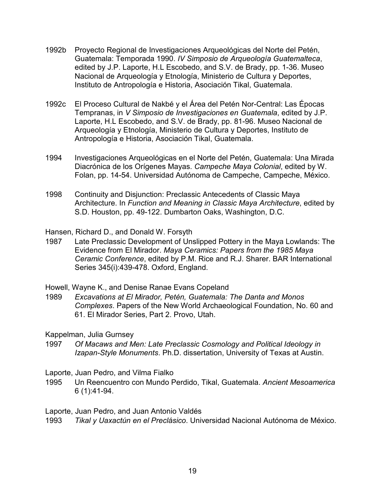- 1992b Proyecto Regional de Investigaciones Arqueológicas del Norte del Petén, Guatemala: Temporada 1990. *IV Simposio de Arqueología Guatemalteca*, edited by J.P. Laporte, H.L Escobedo, and S.V. de Brady, pp. 1-36. Museo Nacional de Arqueología y Etnología, Ministerio de Cultura y Deportes, Instituto de Antropología e Historia, Asociación Tikal, Guatemala.
- 1992c El Proceso Cultural de Nakbé y el Área del Petén Nor-Central: Las Épocas Tempranas, in *V Simposio de Investigaciones en Guatemala*, edited by J.P. Laporte, H.L Escobedo, and S.V. de Brady, pp. 81-96. Museo Nacional de Arqueología y Etnología, Ministerio de Cultura y Deportes, Instituto de Antropología e Historia, Asociación Tikal, Guatemala.
- 1994 Investigaciones Arqueológicas en el Norte del Petén, Guatemala: Una Mirada Diacrónica de los Orígenes Mayas. *Campeche Maya Colonial*, edited by W. Folan, pp. 14-54. Universidad Autónoma de Campeche, Campeche, México.
- 1998 Continuity and Disjunction: Preclassic Antecedents of Classic Maya Architecture. In *Function and Meaning in Classic Maya Architecture*, edited by S.D. Houston, pp. 49-122. Dumbarton Oaks, Washington, D.C.

Hansen, Richard D., and Donald W. Forsyth

1987 Late Preclassic Development of Unslipped Pottery in the Maya Lowlands: The Evidence from El Mirador. *Maya Ceramics: Papers from the 1985 Maya Ceramic Conference*, edited by P.M. Rice and R.J. Sharer. BAR International Series 345(i):439-478. Oxford, England.

Howell, Wayne K., and Denise Ranae Evans Copeland

1989 *Excavations at El Mirador, Petén, Guatemala: The Danta and Monos Complexes*. Papers of the New World Archaeological Foundation, No. 60 and 61. El Mirador Series, Part 2. Provo, Utah.

Kappelman, Julia Gurnsey

- 1997 *Of Macaws and Men: Late Preclassic Cosmology and Political Ideology in Izapan-Style Monuments*. Ph.D. dissertation, University of Texas at Austin.
- Laporte, Juan Pedro, and Vilma Fialko
- 1995 Un Reencuentro con Mundo Perdido, Tikal, Guatemala. *Ancient Mesoamerica* 6 (1):41-94.

Laporte, Juan Pedro, and Juan Antonio Valdés

1993 *Tikal y Uaxactún en el Preclásico*. Universidad Nacional Autónoma de México.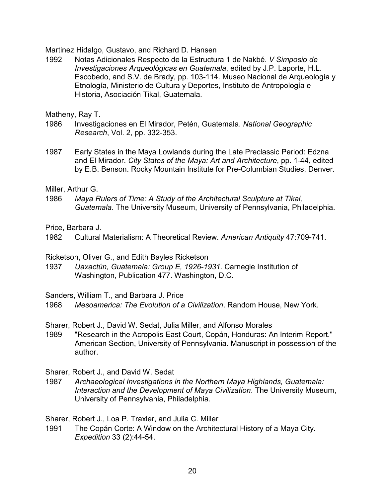Martinez Hidalgo, Gustavo, and Richard D. Hansen

1992 Notas Adicionales Respecto de la Estructura 1 de Nakbé. *V Simposio de Investigaciones Arqueológicas en Guatemala*, edited by J.P. Laporte, H.L. Escobedo, and S.V. de Brady, pp. 103-114. Museo Nacional de Arqueología y Etnología, Ministerio de Cultura y Deportes, Instituto de Antropología e Historia, Asociación Tikal, Guatemala.

Matheny, Ray T.

- 1986 Investigaciones en El Mirador, Petén, Guatemala. *National Geographic Research*, Vol. 2, pp. 332-353.
- 1987 Early States in the Maya Lowlands during the Late Preclassic Period: Edzna and El Mirador. *City States of the Maya: Art and Architecture*, pp. 1-44, edited by E.B. Benson. Rocky Mountain Institute for Pre-Columbian Studies, Denver.

Miller, Arthur G.

1986 *Maya Rulers of Time: A Study of the Architectural Sculpture at Tikal, Guatemala*. The University Museum, University of Pennsylvania, Philadelphia.

Price, Barbara J.

1982 Cultural Materialism: A Theoretical Review. *American Antiquity* 47:709-741.

Ricketson, Oliver G., and Edith Bayles Ricketson

1937 *Uaxactún, Guatemala: Group E, 1926-1931.* Carnegie Institution of Washington, Publication 477. Washington, D.C.

Sanders, William T., and Barbara J. Price

1968 *Mesoamerica: The Evolution of a Civilization*. Random House, New York.

Sharer, Robert J., David W. Sedat, Julia Miller, and Alfonso Morales

1989 "Research in the Acropolis East Court, Copán, Honduras: An Interim Report." American Section, University of Pennsylvania. Manuscript in possession of the author.

Sharer, Robert J., and David W. Sedat

1987 *Archaeological Investigations in the Northern Maya Highlands, Guatemala: Interaction and the Development of Maya Civilization*. The University Museum, University of Pennsylvania, Philadelphia.

Sharer, Robert J., Loa P. Traxler, and Julia C. Miller

1991 The Copán Corte: A Window on the Architectural History of a Maya City. *Expedition* 33 (2):44-54.